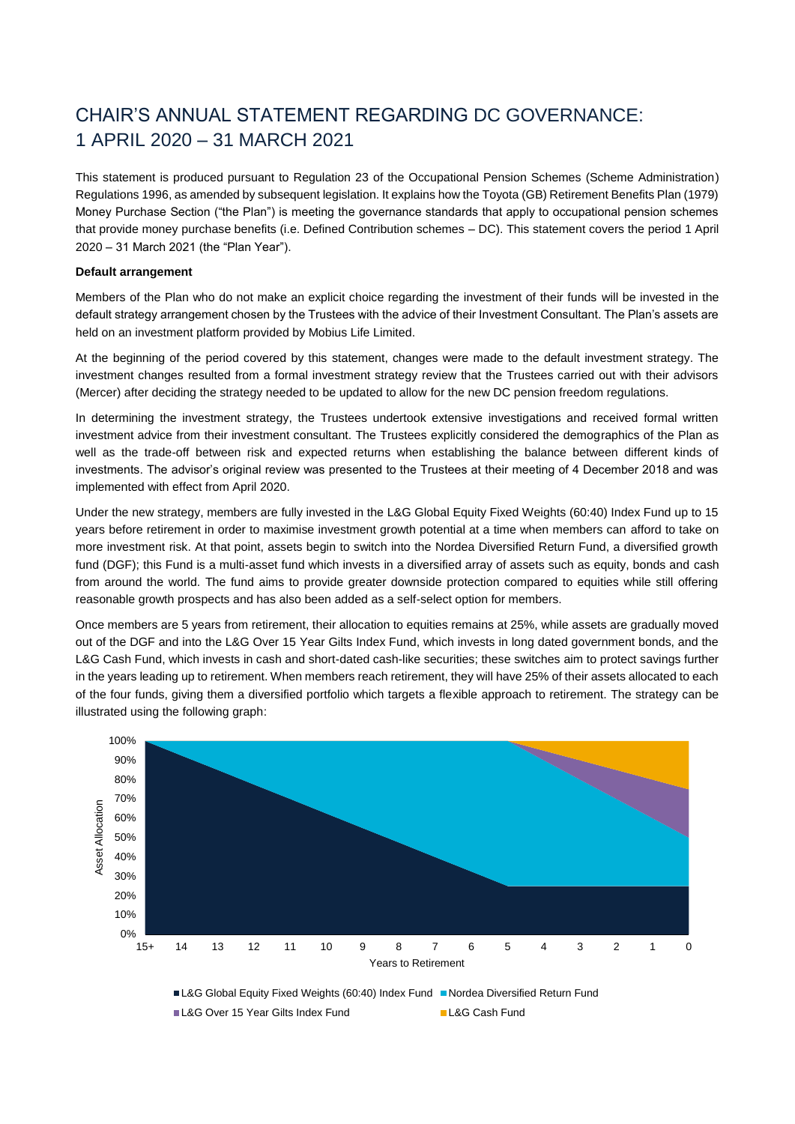# CHAIR'S ANNUAL STATEMENT REGARDING DC GOVERNANCE: 1 APRIL 2020 – 31 MARCH 2021

This statement is produced pursuant to Regulation 23 of the Occupational Pension Schemes (Scheme Administration) Regulations 1996, as amended by subsequent legislation. It explains how the Toyota (GB) Retirement Benefits Plan (1979) Money Purchase Section ("the Plan") is meeting the governance standards that apply to occupational pension schemes that provide money purchase benefits (i.e. Defined Contribution schemes – DC). This statement covers the period 1 April 2020 – 31 March 2021 (the "Plan Year").

## **Default arrangement**

Members of the Plan who do not make an explicit choice regarding the investment of their funds will be invested in the default strategy arrangement chosen by the Trustees with the advice of their Investment Consultant. The Plan's assets are held on an investment platform provided by Mobius Life Limited.

At the beginning of the period covered by this statement, changes were made to the default investment strategy. The investment changes resulted from a formal investment strategy review that the Trustees carried out with their advisors (Mercer) after deciding the strategy needed to be updated to allow for the new DC pension freedom regulations.

In determining the investment strategy, the Trustees undertook extensive investigations and received formal written investment advice from their investment consultant. The Trustees explicitly considered the demographics of the Plan as well as the trade-off between risk and expected returns when establishing the balance between different kinds of investments. The advisor's original review was presented to the Trustees at their meeting of 4 December 2018 and was implemented with effect from April 2020.

Under the new strategy, members are fully invested in the L&G Global Equity Fixed Weights (60:40) Index Fund up to 15 years before retirement in order to maximise investment growth potential at a time when members can afford to take on more investment risk. At that point, assets begin to switch into the Nordea Diversified Return Fund, a diversified growth fund (DGF); this Fund is a multi-asset fund which invests in a diversified array of assets such as equity, bonds and cash from around the world. The fund aims to provide greater downside protection compared to equities while still offering reasonable growth prospects and has also been added as a self-select option for members.

Once members are 5 years from retirement, their allocation to equities remains at 25%, while assets are gradually moved out of the DGF and into the L&G Over 15 Year Gilts Index Fund, which invests in long dated government bonds, and the L&G Cash Fund, which invests in cash and short-dated cash-like securities; these switches aim to protect savings further in the years leading up to retirement. When members reach retirement, they will have 25% of their assets allocated to each of the four funds, giving them a diversified portfolio which targets a flexible approach to retirement. The strategy can be illustrated using the following graph:

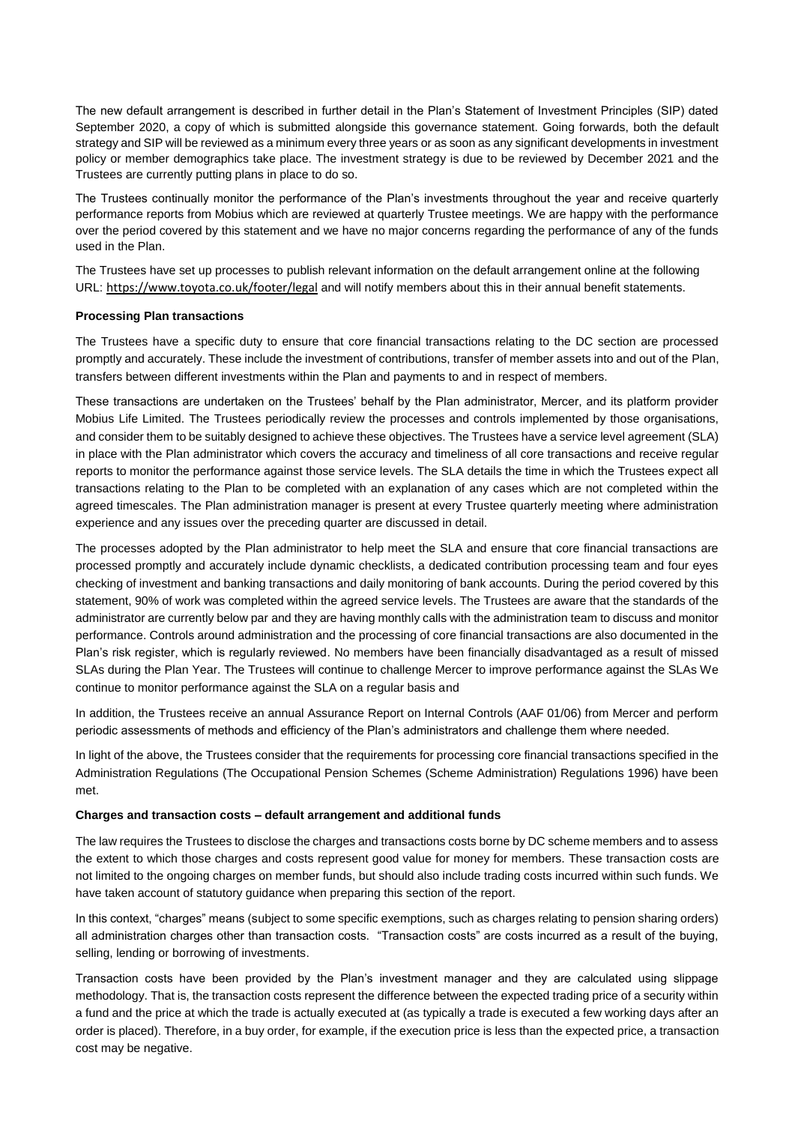The new default arrangement is described in further detail in the Plan's Statement of Investment Principles (SIP) dated September 2020, a copy of which is submitted alongside this governance statement. Going forwards, both the default strategy and SIP will be reviewed as a minimum every three years or as soon as any significant developments in investment policy or member demographics take place. The investment strategy is due to be reviewed by December 2021 and the Trustees are currently putting plans in place to do so.

The Trustees continually monitor the performance of the Plan's investments throughout the year and receive quarterly performance reports from Mobius which are reviewed at quarterly Trustee meetings. We are happy with the performance over the period covered by this statement and we have no major concerns regarding the performance of any of the funds used in the Plan.

The Trustees have set up processes to publish relevant information on the default arrangement online at the following URL: <https://www.toyota.co.uk/footer/legal> and will notify members about this in their annual benefit statements.

# **Processing Plan transactions**

The Trustees have a specific duty to ensure that core financial transactions relating to the DC section are processed promptly and accurately. These include the investment of contributions, transfer of member assets into and out of the Plan, transfers between different investments within the Plan and payments to and in respect of members.

These transactions are undertaken on the Trustees' behalf by the Plan administrator, Mercer, and its platform provider Mobius Life Limited. The Trustees periodically review the processes and controls implemented by those organisations, and consider them to be suitably designed to achieve these objectives. The Trustees have a service level agreement (SLA) in place with the Plan administrator which covers the accuracy and timeliness of all core transactions and receive regular reports to monitor the performance against those service levels. The SLA details the time in which the Trustees expect all transactions relating to the Plan to be completed with an explanation of any cases which are not completed within the agreed timescales. The Plan administration manager is present at every Trustee quarterly meeting where administration experience and any issues over the preceding quarter are discussed in detail.

The processes adopted by the Plan administrator to help meet the SLA and ensure that core financial transactions are processed promptly and accurately include dynamic checklists, a dedicated contribution processing team and four eyes checking of investment and banking transactions and daily monitoring of bank accounts. During the period covered by this statement, 90% of work was completed within the agreed service levels. The Trustees are aware that the standards of the administrator are currently below par and they are having monthly calls with the administration team to discuss and monitor performance. Controls around administration and the processing of core financial transactions are also documented in the Plan's risk register, which is regularly reviewed. No members have been financially disadvantaged as a result of missed SLAs during the Plan Year. The Trustees will continue to challenge Mercer to improve performance against the SLAs We continue to monitor performance against the SLA on a regular basis and

In addition, the Trustees receive an annual Assurance Report on Internal Controls (AAF 01/06) from Mercer and perform periodic assessments of methods and efficiency of the Plan's administrators and challenge them where needed.

In light of the above, the Trustees consider that the requirements for processing core financial transactions specified in the Administration Regulations (The Occupational Pension Schemes (Scheme Administration) Regulations 1996) have been met.

### **Charges and transaction costs – default arrangement and additional funds**

The law requires the Trustees to disclose the charges and transactions costs borne by DC scheme members and to assess the extent to which those charges and costs represent good value for money for members. These transaction costs are not limited to the ongoing charges on member funds, but should also include trading costs incurred within such funds. We have taken account of statutory guidance when preparing this section of the report.

In this context, "charges" means (subject to some specific exemptions, such as charges relating to pension sharing orders) all administration charges other than transaction costs. "Transaction costs" are costs incurred as a result of the buying, selling, lending or borrowing of investments.

Transaction costs have been provided by the Plan's investment manager and they are calculated using slippage methodology. That is, the transaction costs represent the difference between the expected trading price of a security within a fund and the price at which the trade is actually executed at (as typically a trade is executed a few working days after an order is placed). Therefore, in a buy order, for example, if the execution price is less than the expected price, a transaction cost may be negative.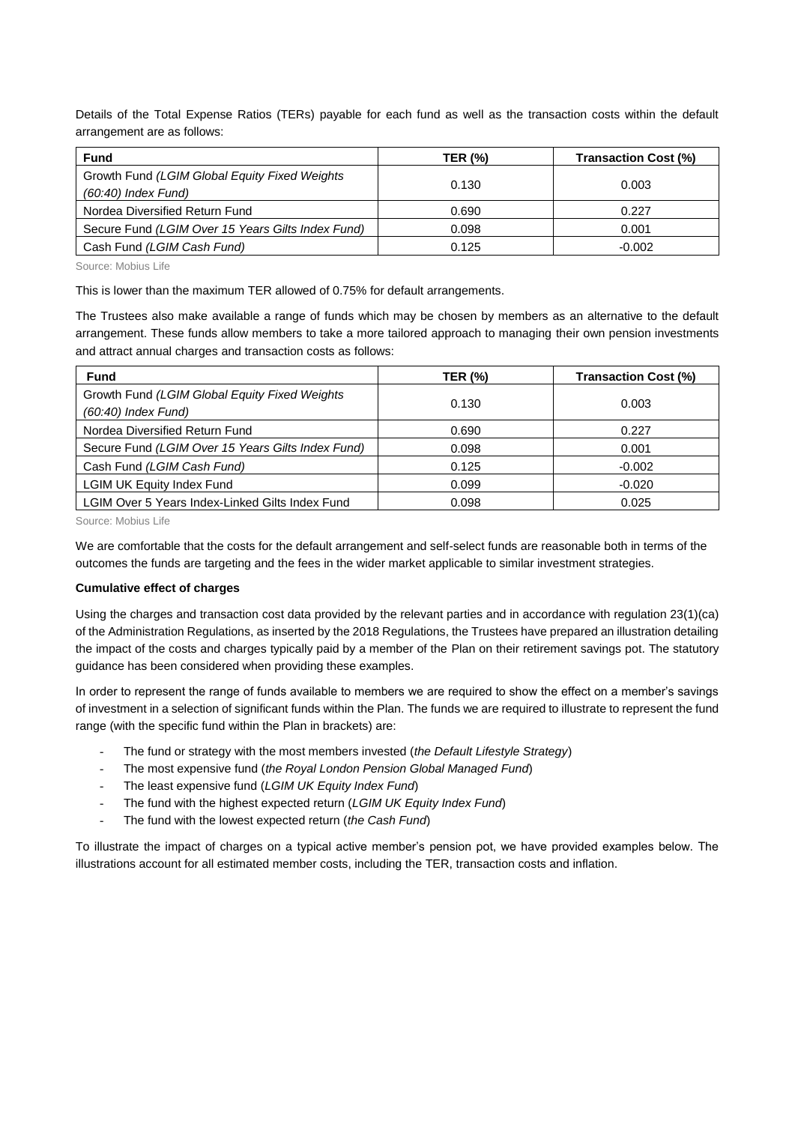Details of the Total Expense Ratios (TERs) payable for each fund as well as the transaction costs within the default arrangement are as follows:

| <b>Fund</b>                                                            | <b>TER (%)</b> | Transaction Cost (%) |
|------------------------------------------------------------------------|----------------|----------------------|
| Growth Fund (LGIM Global Equity Fixed Weights<br>$(60:40)$ Index Fund) | 0.130          | 0.003                |
| Nordea Diversified Return Fund                                         | 0.690          | 0.227                |
| Secure Fund (LGIM Over 15 Years Gilts Index Fund)                      | 0.098          | 0.001                |
| Cash Fund (LGIM Cash Fund)                                             | 0.125          | $-0.002$             |

Source: Mobius Life

This is lower than the maximum TER allowed of 0.75% for default arrangements.

The Trustees also make available a range of funds which may be chosen by members as an alternative to the default arrangement. These funds allow members to take a more tailored approach to managing their own pension investments and attract annual charges and transaction costs as follows:

| <b>Fund</b>                                                            | <b>TER (%)</b> | Transaction Cost (%) |
|------------------------------------------------------------------------|----------------|----------------------|
| Growth Fund (LGIM Global Equity Fixed Weights<br>$(60:40)$ Index Fund) | 0.130          | 0.003                |
| Nordea Diversified Return Fund                                         | 0.690          | 0.227                |
| Secure Fund (LGIM Over 15 Years Gilts Index Fund)                      | 0.098          | 0.001                |
| Cash Fund (LGIM Cash Fund)                                             | 0.125          | $-0.002$             |
| <b>LGIM UK Equity Index Fund</b>                                       | 0.099          | $-0.020$             |
| LGIM Over 5 Years Index-Linked Gilts Index Fund                        | 0.098          | 0.025                |

Source: Mobius Life

We are comfortable that the costs for the default arrangement and self-select funds are reasonable both in terms of the outcomes the funds are targeting and the fees in the wider market applicable to similar investment strategies.

### **Cumulative effect of charges**

Using the charges and transaction cost data provided by the relevant parties and in accordance with regulation 23(1)(ca) of the Administration Regulations, as inserted by the 2018 Regulations, the Trustees have prepared an illustration detailing the impact of the costs and charges typically paid by a member of the Plan on their retirement savings pot. The statutory guidance has been considered when providing these examples.

In order to represent the range of funds available to members we are required to show the effect on a member's savings of investment in a selection of significant funds within the Plan. The funds we are required to illustrate to represent the fund range (with the specific fund within the Plan in brackets) are:

- The fund or strategy with the most members invested (*the Default Lifestyle Strategy*)
- The most expensive fund (*the Royal London Pension Global Managed Fund*)
- The least expensive fund (*LGIM UK Equity Index Fund*)
- The fund with the highest expected return (*LGIM UK Equity Index Fund*)
- The fund with the lowest expected return (*the Cash Fund*)

To illustrate the impact of charges on a typical active member's pension pot, we have provided examples below. The illustrations account for all estimated member costs, including the TER, transaction costs and inflation.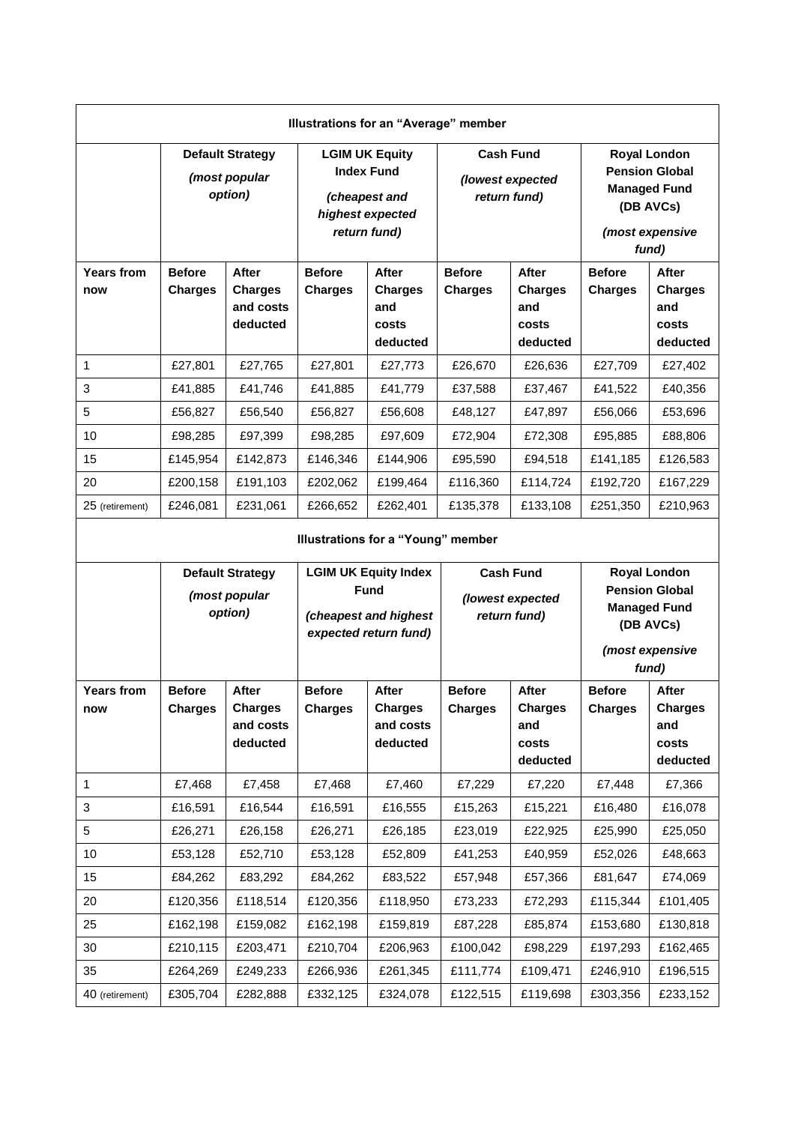| Illustrations for an "Average" member |                                 |                                                         |                                                                                                 |                                                     |                                                      |                                                     |                                                                                                              |                                                     |
|---------------------------------------|---------------------------------|---------------------------------------------------------|-------------------------------------------------------------------------------------------------|-----------------------------------------------------|------------------------------------------------------|-----------------------------------------------------|--------------------------------------------------------------------------------------------------------------|-----------------------------------------------------|
|                                       |                                 | <b>Default Strategy</b><br>(most popular<br>option)     | <b>LGIM UK Equity</b><br><b>Index Fund</b><br>(cheapest and<br>highest expected<br>return fund) |                                                     | <b>Cash Fund</b><br>(lowest expected<br>return fund) |                                                     | <b>Royal London</b><br><b>Pension Global</b><br><b>Managed Fund</b><br>(DB AVCs)<br>(most expensive<br>fund) |                                                     |
| <b>Years from</b><br>now              | <b>Before</b><br><b>Charges</b> | <b>After</b><br><b>Charges</b><br>and costs<br>deducted | <b>Before</b><br><b>Charges</b>                                                                 | After<br><b>Charges</b><br>and<br>costs<br>deducted | <b>Before</b><br><b>Charges</b>                      | After<br><b>Charges</b><br>and<br>costs<br>deducted | <b>Before</b><br><b>Charges</b>                                                                              | After<br><b>Charges</b><br>and<br>costs<br>deducted |
| 1                                     | £27,801                         | £27,765                                                 | £27,801                                                                                         | £27,773                                             | £26,670                                              | £26,636                                             | £27,709                                                                                                      | £27,402                                             |
| 3                                     | £41,885                         | £41,746                                                 | £41,885                                                                                         | £41,779                                             | £37,588                                              | £37,467                                             | £41,522                                                                                                      | £40,356                                             |
| 5                                     | £56,827                         | £56,540                                                 | £56,827                                                                                         | £56,608                                             | £48,127                                              | £47,897                                             | £56,066                                                                                                      | £53,696                                             |
| 10                                    | £98,285                         | £97,399                                                 | £98,285                                                                                         | £97,609                                             | £72,904                                              | £72,308                                             | £95,885                                                                                                      | £88,806                                             |
| 15                                    | £145,954                        | £142,873                                                | £146,346                                                                                        | £144,906                                            | £95,590                                              | £94,518                                             | £141,185                                                                                                     | £126,583                                            |
| 20                                    | £200,158                        | £191,103                                                | £202,062                                                                                        | £199,464                                            | £116,360                                             | £114,724                                            | £192,720                                                                                                     | £167,229                                            |
| 25 (retirement)                       | £246,081                        | £231,061                                                | £266,652                                                                                        | £262,401                                            | £135,378                                             | £133,108                                            | £251,350                                                                                                     | £210,963                                            |

# **Illustrations for a "Young" member**

|                          |                                 | <b>Default Strategy</b><br>(most popular<br>option)     | <b>LGIM UK Equity Index</b><br><b>Fund</b><br>(cheapest and highest<br>expected return fund) |                                                         | <b>Cash Fund</b><br>(lowest expected<br>return fund) |                                                            | <b>Royal London</b><br><b>Pension Global</b><br><b>Managed Fund</b><br>(DB AVCs)<br>(most expensive<br>fund) |                                                     |
|--------------------------|---------------------------------|---------------------------------------------------------|----------------------------------------------------------------------------------------------|---------------------------------------------------------|------------------------------------------------------|------------------------------------------------------------|--------------------------------------------------------------------------------------------------------------|-----------------------------------------------------|
| <b>Years from</b><br>now | <b>Before</b><br><b>Charges</b> | <b>After</b><br><b>Charges</b><br>and costs<br>deducted | <b>Before</b><br><b>Charges</b>                                                              | <b>After</b><br><b>Charges</b><br>and costs<br>deducted | <b>Before</b><br><b>Charges</b>                      | <b>After</b><br><b>Charges</b><br>and<br>costs<br>deducted | <b>Before</b><br><b>Charges</b>                                                                              | After<br><b>Charges</b><br>and<br>costs<br>deducted |
| 1                        | £7,468                          | £7,458                                                  | £7,468                                                                                       | £7,460                                                  | £7,229                                               | £7,220                                                     | £7,448                                                                                                       | £7,366                                              |
| 3                        | £16,591                         | £16,544                                                 | £16,591                                                                                      | £16,555                                                 | £15,263                                              | £15,221                                                    | £16,480                                                                                                      | £16,078                                             |
| 5                        | £26,271                         | £26,158                                                 | £26,271                                                                                      | £26,185                                                 | £23,019                                              | £22,925                                                    | £25,990                                                                                                      | £25,050                                             |
| 10                       | £53,128                         | £52,710                                                 | £53,128                                                                                      | £52,809                                                 | £41,253                                              | £40,959                                                    | £52,026                                                                                                      | £48,663                                             |
| 15                       | £84,262                         | £83,292                                                 | £84,262                                                                                      | £83,522                                                 | £57,948                                              | £57,366                                                    | £81,647                                                                                                      | £74,069                                             |
| 20                       | £120,356                        | £118,514                                                | £120,356                                                                                     | £118,950                                                | £73,233                                              | £72,293                                                    | £115,344                                                                                                     | £101,405                                            |
| 25                       | £162,198                        | £159,082                                                | £162,198                                                                                     | £159,819                                                | £87,228                                              | £85,874                                                    | £153,680                                                                                                     | £130,818                                            |
| 30                       | £210,115                        | £203,471                                                | £210,704                                                                                     | £206,963                                                | £100,042                                             | £98,229                                                    | £197,293                                                                                                     | £162,465                                            |
| 35                       | £264,269                        | £249,233                                                | £266,936                                                                                     | £261,345                                                | £111,774                                             | £109,471                                                   | £246,910                                                                                                     | £196,515                                            |
| 40 (retirement)          | £305,704                        | £282,888                                                | £332,125                                                                                     | £324,078                                                | £122,515                                             | £119,698                                                   | £303,356                                                                                                     | £233,152                                            |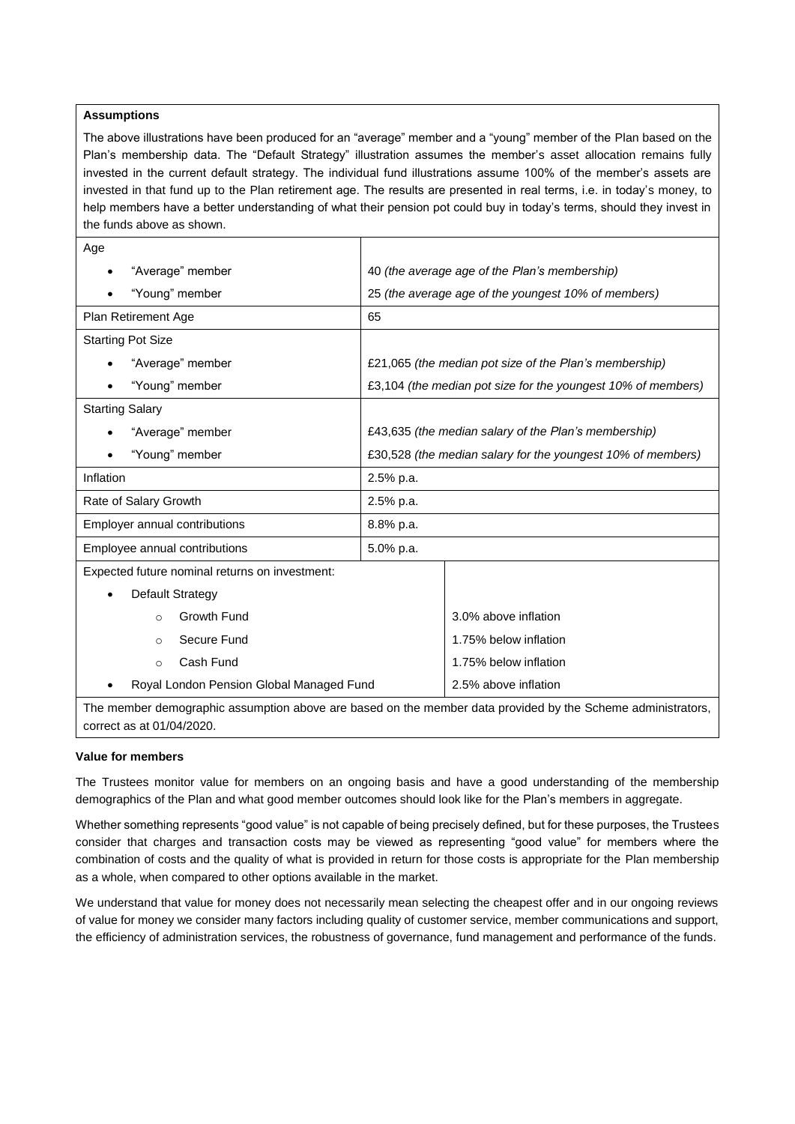## **Assumptions**

The above illustrations have been produced for an "average" member and a "young" member of the Plan based on the Plan's membership data. The "Default Strategy" illustration assumes the member's asset allocation remains fully invested in the current default strategy. The individual fund illustrations assume 100% of the member's assets are invested in that fund up to the Plan retirement age. The results are presented in real terms, i.e. in today's money, to help members have a better understanding of what their pension pot could buy in today's terms, should they invest in the funds above as shown.

| Age                                            |                                                              |  |  |
|------------------------------------------------|--------------------------------------------------------------|--|--|
| "Average" member                               | 40 (the average age of the Plan's membership)                |  |  |
| "Young" member                                 | 25 (the average age of the youngest 10% of members)          |  |  |
| Plan Retirement Age                            | 65                                                           |  |  |
| <b>Starting Pot Size</b>                       |                                                              |  |  |
| "Average" member                               | £21,065 (the median pot size of the Plan's membership)       |  |  |
| "Young" member                                 | £3,104 (the median pot size for the youngest 10% of members) |  |  |
| <b>Starting Salary</b>                         |                                                              |  |  |
| "Average" member                               | £43,635 (the median salary of the Plan's membership)         |  |  |
| "Young" member                                 | £30,528 (the median salary for the youngest 10% of members)  |  |  |
| Inflation                                      | 2.5% p.a.                                                    |  |  |
| Rate of Salary Growth                          | 2.5% p.a.                                                    |  |  |
| Employer annual contributions                  | 8.8% p.a.                                                    |  |  |
| Employee annual contributions                  | 5.0% p.a.                                                    |  |  |
| Expected future nominal returns on investment: |                                                              |  |  |
| Default Strategy                               |                                                              |  |  |
| Growth Fund<br>$\bigcap$                       | 3.0% above inflation                                         |  |  |
| Secure Fund<br>$\circ$                         | 1.75% below inflation                                        |  |  |
| Cash Fund<br>$\circ$                           | 1.75% below inflation                                        |  |  |
| Royal London Pension Global Managed Fund       | 2.5% above inflation                                         |  |  |

The member demographic assumption above are based on the member data provided by the Scheme administrators, correct as at 01/04/2020.

### **Value for members**

The Trustees monitor value for members on an ongoing basis and have a good understanding of the membership demographics of the Plan and what good member outcomes should look like for the Plan's members in aggregate.

Whether something represents "good value" is not capable of being precisely defined, but for these purposes, the Trustees consider that charges and transaction costs may be viewed as representing "good value" for members where the combination of costs and the quality of what is provided in return for those costs is appropriate for the Plan membership as a whole, when compared to other options available in the market.

We understand that value for money does not necessarily mean selecting the cheapest offer and in our ongoing reviews of value for money we consider many factors including quality of customer service, member communications and support, the efficiency of administration services, the robustness of governance, fund management and performance of the funds.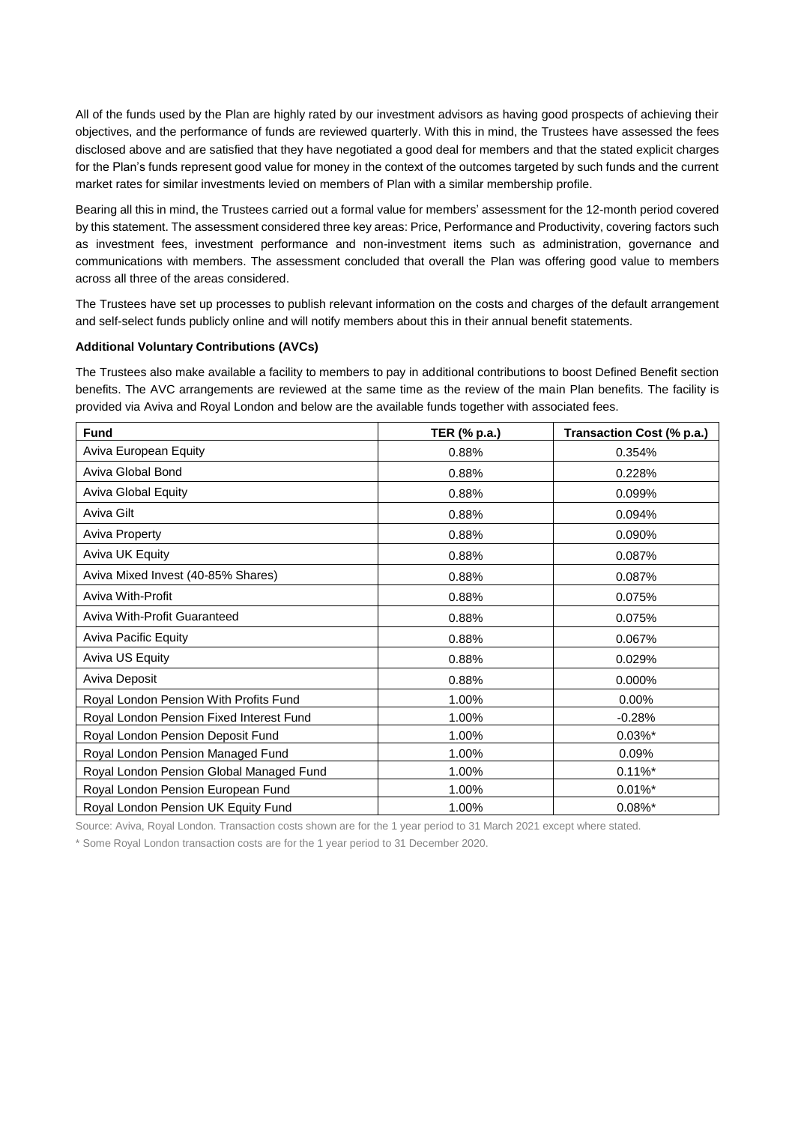All of the funds used by the Plan are highly rated by our investment advisors as having good prospects of achieving their objectives, and the performance of funds are reviewed quarterly. With this in mind, the Trustees have assessed the fees disclosed above and are satisfied that they have negotiated a good deal for members and that the stated explicit charges for the Plan's funds represent good value for money in the context of the outcomes targeted by such funds and the current market rates for similar investments levied on members of Plan with a similar membership profile.

Bearing all this in mind, the Trustees carried out a formal value for members' assessment for the 12-month period covered by this statement. The assessment considered three key areas: Price, Performance and Productivity, covering factors such as investment fees, investment performance and non-investment items such as administration, governance and communications with members. The assessment concluded that overall the Plan was offering good value to members across all three of the areas considered.

The Trustees have set up processes to publish relevant information on the costs and charges of the default arrangement and self-select funds publicly online and will notify members about this in their annual benefit statements.

### **Additional Voluntary Contributions (AVCs)**

The Trustees also make available a facility to members to pay in additional contributions to boost Defined Benefit section benefits. The AVC arrangements are reviewed at the same time as the review of the main Plan benefits. The facility is provided via Aviva and Royal London and below are the available funds together with associated fees.

| <b>Fund</b>                              | TER (% p.a.) | Transaction Cost (% p.a.) |
|------------------------------------------|--------------|---------------------------|
| Aviva European Equity                    | 0.88%        | 0.354%                    |
| Aviva Global Bond                        | 0.88%        | 0.228%                    |
| <b>Aviva Global Equity</b>               | 0.88%        | 0.099%                    |
| Aviva Gilt                               | 0.88%        | 0.094%                    |
| <b>Aviva Property</b>                    | 0.88%        | 0.090%                    |
| Aviva UK Equity                          | 0.88%        | 0.087%                    |
| Aviva Mixed Invest (40-85% Shares)       | 0.88%        | 0.087%                    |
| Aviva With-Profit                        | 0.88%        | 0.075%                    |
| Aviva With-Profit Guaranteed             | 0.88%        | 0.075%                    |
| <b>Aviva Pacific Equity</b>              | 0.88%        | 0.067%                    |
| Aviva US Equity                          | 0.88%        | 0.029%                    |
| Aviva Deposit                            | 0.88%        | 0.000%                    |
| Royal London Pension With Profits Fund   | 1.00%        | $0.00\%$                  |
| Royal London Pension Fixed Interest Fund | 1.00%        | $-0.28%$                  |
| Royal London Pension Deposit Fund        | 1.00%        | $0.03\%$ *                |
| Royal London Pension Managed Fund        | 1.00%        | 0.09%                     |
| Royal London Pension Global Managed Fund | 1.00%        | $0.11\%$ *                |
| Royal London Pension European Fund       | 1.00%        | $0.01\%$ *                |
| Royal London Pension UK Equity Fund      | 1.00%        | $0.08\%$ *                |

Source: Aviva, Royal London. Transaction costs shown are for the 1 year period to 31 March 2021 except where stated.

\* Some Royal London transaction costs are for the 1 year period to 31 December 2020.